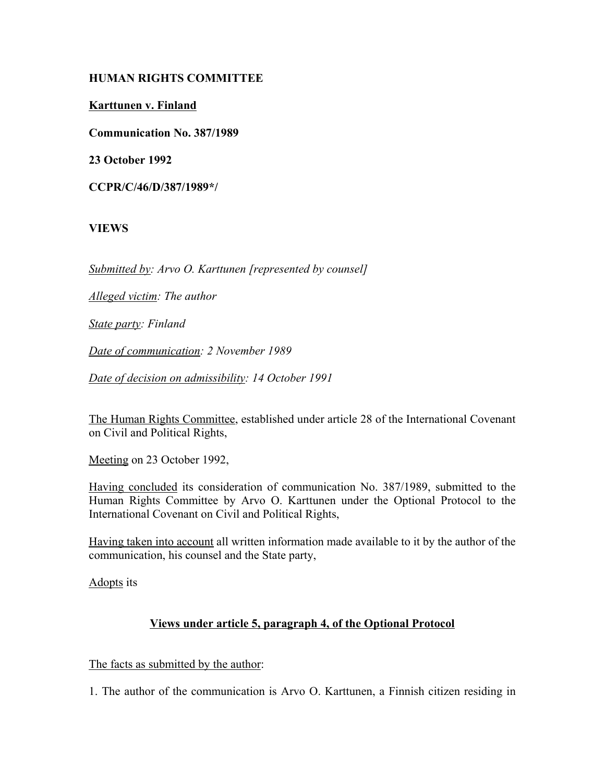# **HUMAN RIGHTS COMMITTEE**

**Karttunen v. Finland**

**Communication No. 387/1989**

**23 October 1992**

**CCPR/C/46/D/387/1989\*/**

### **VIEWS**

*Submitted by: Arvo O. Karttunen [represented by counsel]*

*Alleged victim: The author*

*State party: Finland*

*Date of communication: 2 November 1989*

*Date of decision on admissibility: 14 October 1991*

The Human Rights Committee, established under article 28 of the International Covenant on Civil and Political Rights,

Meeting on 23 October 1992,

Having concluded its consideration of communication No. 387/1989, submitted to the Human Rights Committee by Arvo O. Karttunen under the Optional Protocol to the International Covenant on Civil and Political Rights,

Having taken into account all written information made available to it by the author of the communication, his counsel and the State party,

Adopts its

### **Views under article 5, paragraph 4, of the Optional Protocol**

The facts as submitted by the author:

1. The author of the communication is Arvo O. Karttunen, a Finnish citizen residing in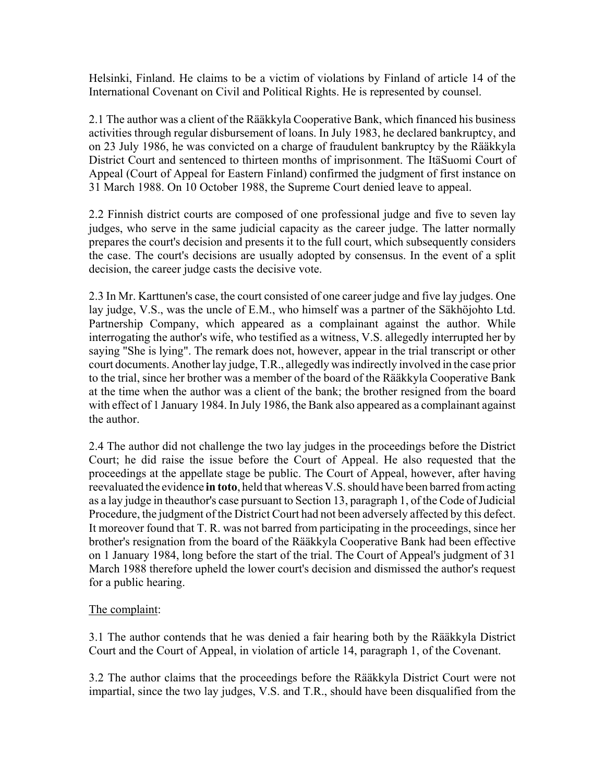Helsinki, Finland. He claims to be a victim of violations by Finland of article 14 of the International Covenant on Civil and Political Rights. He is represented by counsel.

2.1 The author was a client of the Rääkkyla Cooperative Bank, which financed his business activities through regular disbursement of loans. In July 1983, he declared bankruptcy, and on 23 July 1986, he was convicted on a charge of fraudulent bankruptcy by the Rääkkyla District Court and sentenced to thirteen months of imprisonment. The ItäSuomi Court of Appeal (Court of Appeal for Eastern Finland) confirmed the judgment of first instance on 31 March 1988. On 10 October 1988, the Supreme Court denied leave to appeal.

2.2 Finnish district courts are composed of one professional judge and five to seven lay judges, who serve in the same judicial capacity as the career judge. The latter normally prepares the court's decision and presents it to the full court, which subsequently considers the case. The court's decisions are usually adopted by consensus. In the event of a split decision, the career judge casts the decisive vote.

2.3 In Mr. Karttunen's case, the court consisted of one career judge and five lay judges. One lay judge, V.S., was the uncle of E.M., who himself was a partner of the Säkhöjohto Ltd. Partnership Company, which appeared as a complainant against the author. While interrogating the author's wife, who testified as a witness, V.S. allegedly interrupted her by saying "She is lying". The remark does not, however, appear in the trial transcript or other court documents. Another lay judge, T.R., allegedly was indirectly involved in the case prior to the trial, since her brother was a member of the board of the Rääkkyla Cooperative Bank at the time when the author was a client of the bank; the brother resigned from the board with effect of 1 January 1984. In July 1986, the Bank also appeared as a complainant against the author.

2.4 The author did not challenge the two lay judges in the proceedings before the District Court; he did raise the issue before the Court of Appeal. He also requested that the proceedings at the appellate stage be public. The Court of Appeal, however, after having reevaluated the evidence **in toto**, held that whereas V.S. should have been barred from acting as a lay judge in theauthor's case pursuant to Section 13, paragraph 1, of the Code of Judicial Procedure, the judgment of the District Court had not been adversely affected by this defect. It moreover found that T. R. was not barred from participating in the proceedings, since her brother's resignation from the board of the Rääkkyla Cooperative Bank had been effective on 1 January 1984, long before the start of the trial. The Court of Appeal's judgment of 31 March 1988 therefore upheld the lower court's decision and dismissed the author's request for a public hearing.

# The complaint:

3.1 The author contends that he was denied a fair hearing both by the Rääkkyla District Court and the Court of Appeal, in violation of article 14, paragraph 1, of the Covenant.

3.2 The author claims that the proceedings before the Rääkkyla District Court were not impartial, since the two lay judges, V.S. and T.R., should have been disqualified from the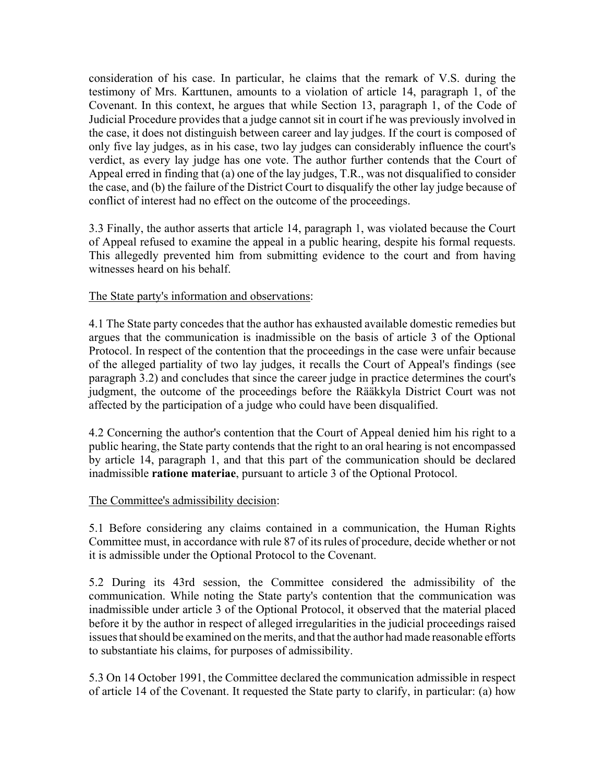consideration of his case. In particular, he claims that the remark of V.S. during the testimony of Mrs. Karttunen, amounts to a violation of article 14, paragraph 1, of the Covenant. In this context, he argues that while Section 13, paragraph 1, of the Code of Judicial Procedure provides that a judge cannot sit in court if he was previously involved in the case, it does not distinguish between career and lay judges. If the court is composed of only five lay judges, as in his case, two lay judges can considerably influence the court's verdict, as every lay judge has one vote. The author further contends that the Court of Appeal erred in finding that (a) one of the lay judges, T.R., was not disqualified to consider the case, and (b) the failure of the District Court to disqualify the other lay judge because of conflict of interest had no effect on the outcome of the proceedings.

3.3 Finally, the author asserts that article 14, paragraph 1, was violated because the Court of Appeal refused to examine the appeal in a public hearing, despite his formal requests. This allegedly prevented him from submitting evidence to the court and from having witnesses heard on his behalf.

# The State party's information and observations:

4.1 The State party concedes that the author has exhausted available domestic remedies but argues that the communication is inadmissible on the basis of article 3 of the Optional Protocol. In respect of the contention that the proceedings in the case were unfair because of the alleged partiality of two lay judges, it recalls the Court of Appeal's findings (see paragraph 3.2) and concludes that since the career judge in practice determines the court's judgment, the outcome of the proceedings before the Rääkkyla District Court was not affected by the participation of a judge who could have been disqualified.

4.2 Concerning the author's contention that the Court of Appeal denied him his right to a public hearing, the State party contends that the right to an oral hearing is not encompassed by article 14, paragraph 1, and that this part of the communication should be declared inadmissible **ratione materiae**, pursuant to article 3 of the Optional Protocol.

### The Committee's admissibility decision:

5.1 Before considering any claims contained in a communication, the Human Rights Committee must, in accordance with rule 87 of its rules of procedure, decide whether or not it is admissible under the Optional Protocol to the Covenant.

5.2 During its 43rd session, the Committee considered the admissibility of the communication. While noting the State party's contention that the communication was inadmissible under article 3 of the Optional Protocol, it observed that the material placed before it by the author in respect of alleged irregularities in the judicial proceedings raised issues that should be examined on the merits, and that the author had made reasonable efforts to substantiate his claims, for purposes of admissibility.

5.3 On 14 October 1991, the Committee declared the communication admissible in respect of article 14 of the Covenant. It requested the State party to clarify, in particular: (a) how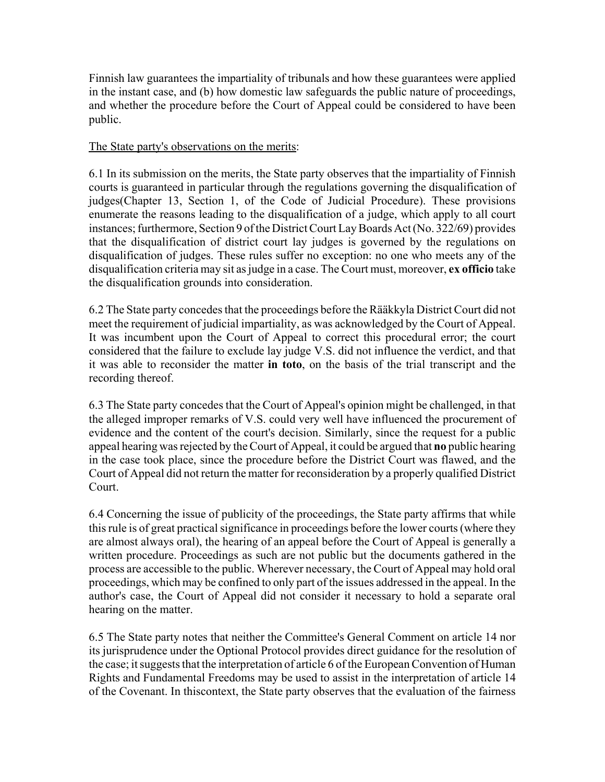Finnish law guarantees the impartiality of tribunals and how these guarantees were applied in the instant case, and (b) how domestic law safeguards the public nature of proceedings, and whether the procedure before the Court of Appeal could be considered to have been public.

## The State party's observations on the merits:

6.1 In its submission on the merits, the State party observes that the impartiality of Finnish courts is guaranteed in particular through the regulations governing the disqualification of judges(Chapter 13, Section 1, of the Code of Judicial Procedure). These provisions enumerate the reasons leading to the disqualification of a judge, which apply to all court instances; furthermore, Section 9 of the District Court Lay Boards Act (No. 322/69) provides that the disqualification of district court lay judges is governed by the regulations on disqualification of judges. These rules suffer no exception: no one who meets any of the disqualification criteria may sit as judge in a case. The Court must, moreover, **ex officio** take the disqualification grounds into consideration.

6.2 The State party concedes that the proceedings before the Rääkkyla District Court did not meet the requirement of judicial impartiality, as was acknowledged by the Court of Appeal. It was incumbent upon the Court of Appeal to correct this procedural error; the court considered that the failure to exclude lay judge V.S. did not influence the verdict, and that it was able to reconsider the matter **in toto**, on the basis of the trial transcript and the recording thereof.

6.3 The State party concedes that the Court of Appeal's opinion might be challenged, in that the alleged improper remarks of V.S. could very well have influenced the procurement of evidence and the content of the court's decision. Similarly, since the request for a public appeal hearing was rejected by the Court of Appeal, it could be argued that **no** public hearing in the case took place, since the procedure before the District Court was flawed, and the Court of Appeal did not return the matter for reconsideration by a properly qualified District Court.

6.4 Concerning the issue of publicity of the proceedings, the State party affirms that while this rule is of great practical significance in proceedings before the lower courts (where they are almost always oral), the hearing of an appeal before the Court of Appeal is generally a written procedure. Proceedings as such are not public but the documents gathered in the process are accessible to the public. Wherever necessary, the Court of Appeal may hold oral proceedings, which may be confined to only part of the issues addressed in the appeal. In the author's case, the Court of Appeal did not consider it necessary to hold a separate oral hearing on the matter.

6.5 The State party notes that neither the Committee's General Comment on article 14 nor its jurisprudence under the Optional Protocol provides direct guidance for the resolution of the case; it suggests that the interpretation of article 6 of the European Convention of Human Rights and Fundamental Freedoms may be used to assist in the interpretation of article 14 of the Covenant. In thiscontext, the State party observes that the evaluation of the fairness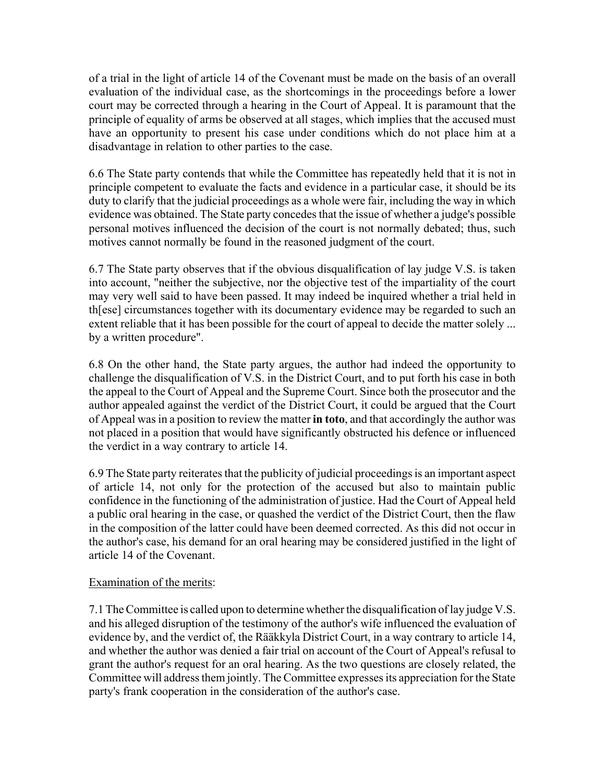of a trial in the light of article 14 of the Covenant must be made on the basis of an overall evaluation of the individual case, as the shortcomings in the proceedings before a lower court may be corrected through a hearing in the Court of Appeal. It is paramount that the principle of equality of arms be observed at all stages, which implies that the accused must have an opportunity to present his case under conditions which do not place him at a disadvantage in relation to other parties to the case.

6.6 The State party contends that while the Committee has repeatedly held that it is not in principle competent to evaluate the facts and evidence in a particular case, it should be its duty to clarify that the judicial proceedings as a whole were fair, including the way in which evidence was obtained. The State party concedes that the issue of whether a judge's possible personal motives influenced the decision of the court is not normally debated; thus, such motives cannot normally be found in the reasoned judgment of the court.

6.7 The State party observes that if the obvious disqualification of lay judge V.S. is taken into account, "neither the subjective, nor the objective test of the impartiality of the court may very well said to have been passed. It may indeed be inquired whether a trial held in th[ese] circumstances together with its documentary evidence may be regarded to such an extent reliable that it has been possible for the court of appeal to decide the matter solely ... by a written procedure".

6.8 On the other hand, the State party argues, the author had indeed the opportunity to challenge the disqualification of V.S. in the District Court, and to put forth his case in both the appeal to the Court of Appeal and the Supreme Court. Since both the prosecutor and the author appealed against the verdict of the District Court, it could be argued that the Court of Appeal was in a position to review the matter **in toto**, and that accordingly the author was not placed in a position that would have significantly obstructed his defence or influenced the verdict in a way contrary to article 14.

6.9 The State party reiterates that the publicity of judicial proceedings is an important aspect of article 14, not only for the protection of the accused but also to maintain public confidence in the functioning of the administration of justice. Had the Court of Appeal held a public oral hearing in the case, or quashed the verdict of the District Court, then the flaw in the composition of the latter could have been deemed corrected. As this did not occur in the author's case, his demand for an oral hearing may be considered justified in the light of article 14 of the Covenant.

### Examination of the merits:

7.1 The Committee is called upon to determine whether the disqualification of lay judge V.S. and his alleged disruption of the testimony of the author's wife influenced the evaluation of evidence by, and the verdict of, the Rääkkyla District Court, in a way contrary to article 14, and whether the author was denied a fair trial on account of the Court of Appeal's refusal to grant the author's request for an oral hearing. As the two questions are closely related, the Committee will address them jointly. The Committee expresses its appreciation for the State party's frank cooperation in the consideration of the author's case.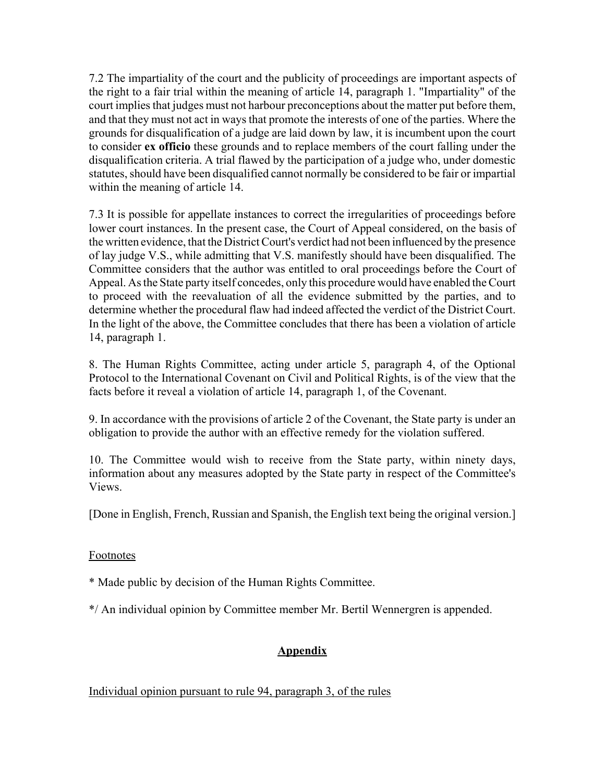7.2 The impartiality of the court and the publicity of proceedings are important aspects of the right to a fair trial within the meaning of article 14, paragraph 1. "Impartiality" of the court implies that judges must not harbour preconceptions about the matter put before them, and that they must not act in ways that promote the interests of one of the parties. Where the grounds for disqualification of a judge are laid down by law, it is incumbent upon the court to consider **ex officio** these grounds and to replace members of the court falling under the disqualification criteria. A trial flawed by the participation of a judge who, under domestic statutes, should have been disqualified cannot normally be considered to be fair or impartial within the meaning of article 14.

7.3 It is possible for appellate instances to correct the irregularities of proceedings before lower court instances. In the present case, the Court of Appeal considered, on the basis of the written evidence, that the District Court's verdict had not been influenced by the presence of lay judge V.S., while admitting that V.S. manifestly should have been disqualified. The Committee considers that the author was entitled to oral proceedings before the Court of Appeal. As the State party itself concedes, only this procedure would have enabled the Court to proceed with the reevaluation of all the evidence submitted by the parties, and to determine whether the procedural flaw had indeed affected the verdict of the District Court. In the light of the above, the Committee concludes that there has been a violation of article 14, paragraph 1.

8. The Human Rights Committee, acting under article 5, paragraph 4, of the Optional Protocol to the International Covenant on Civil and Political Rights, is of the view that the facts before it reveal a violation of article 14, paragraph 1, of the Covenant.

9. In accordance with the provisions of article 2 of the Covenant, the State party is under an obligation to provide the author with an effective remedy for the violation suffered.

10. The Committee would wish to receive from the State party, within ninety days, information about any measures adopted by the State party in respect of the Committee's Views.

[Done in English, French, Russian and Spanish, the English text being the original version.]

# Footnotes

\* Made public by decision of the Human Rights Committee.

\*/ An individual opinion by Committee member Mr. Bertil Wennergren is appended.

# **Appendix**

Individual opinion pursuant to rule 94, paragraph 3, of the rules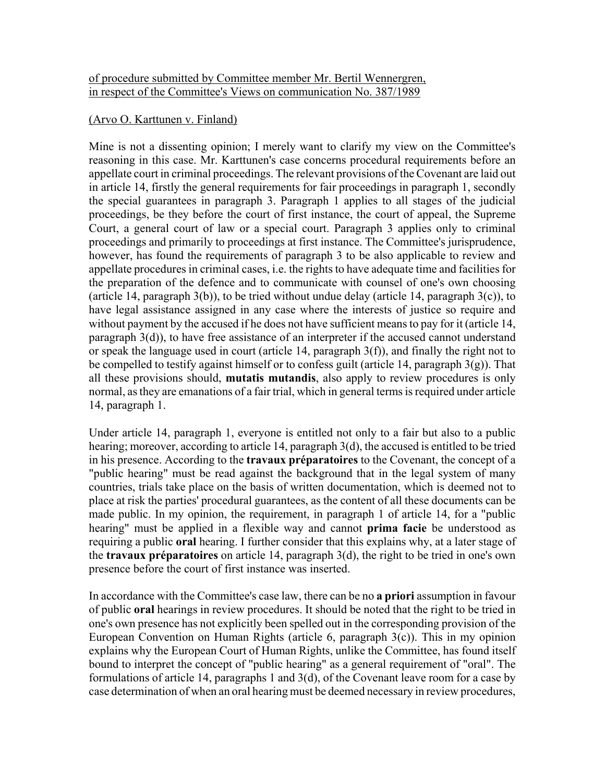## of procedure submitted by Committee member Mr. Bertil Wennergren, in respect of the Committee's Views on communication No. 387/1989

## (Arvo O. Karttunen v. Finland)

Mine is not a dissenting opinion; I merely want to clarify my view on the Committee's reasoning in this case. Mr. Karttunen's case concerns procedural requirements before an appellate court in criminal proceedings. The relevant provisions of the Covenant are laid out in article 14, firstly the general requirements for fair proceedings in paragraph 1, secondly the special guarantees in paragraph 3. Paragraph 1 applies to all stages of the judicial proceedings, be they before the court of first instance, the court of appeal, the Supreme Court, a general court of law or a special court. Paragraph 3 applies only to criminal proceedings and primarily to proceedings at first instance. The Committee's jurisprudence, however, has found the requirements of paragraph 3 to be also applicable to review and appellate procedures in criminal cases, i.e. the rights to have adequate time and facilities for the preparation of the defence and to communicate with counsel of one's own choosing (article 14, paragraph  $3(b)$ ), to be tried without undue delay (article 14, paragraph  $3(c)$ ), to have legal assistance assigned in any case where the interests of justice so require and without payment by the accused if he does not have sufficient means to pay for it (article 14, paragraph 3(d)), to have free assistance of an interpreter if the accused cannot understand or speak the language used in court (article 14, paragraph 3(f)), and finally the right not to be compelled to testify against himself or to confess guilt (article 14, paragraph 3(g)). That all these provisions should, **mutatis mutandis**, also apply to review procedures is only normal, as they are emanations of a fair trial, which in general terms is required under article 14, paragraph 1.

Under article 14, paragraph 1, everyone is entitled not only to a fair but also to a public hearing; moreover, according to article 14, paragraph 3(d), the accused is entitled to be tried in his presence. According to the **travaux préparatoires** to the Covenant, the concept of a "public hearing" must be read against the background that in the legal system of many countries, trials take place on the basis of written documentation, which is deemed not to place at risk the parties' procedural guarantees, as the content of all these documents can be made public. In my opinion, the requirement, in paragraph 1 of article 14, for a "public hearing" must be applied in a flexible way and cannot **prima facie** be understood as requiring a public **oral** hearing. I further consider that this explains why, at a later stage of the **travaux préparatoires** on article 14, paragraph 3(d), the right to be tried in one's own presence before the court of first instance was inserted.

In accordance with the Committee's case law, there can be no **a priori** assumption in favour of public **oral** hearings in review procedures. It should be noted that the right to be tried in one's own presence has not explicitly been spelled out in the corresponding provision of the European Convention on Human Rights (article 6, paragraph 3(c)). This in my opinion explains why the European Court of Human Rights, unlike the Committee, has found itself bound to interpret the concept of "public hearing" as a general requirement of "oral". The formulations of article 14, paragraphs 1 and 3(d), of the Covenant leave room for a case by case determination of when an oral hearing must be deemed necessary in review procedures,